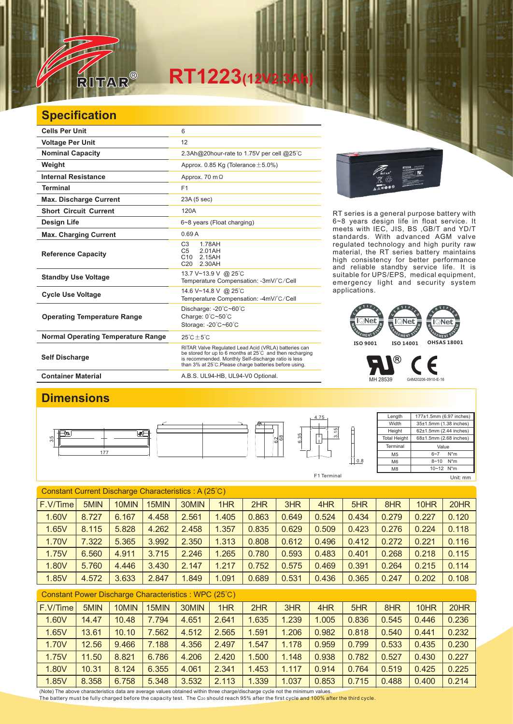

## **RT1223**(12)

## **Specification**

| <b>Cells Per Unit</b>                     | 6                                                                                                                                                                                                                                  |  |  |  |  |  |  |
|-------------------------------------------|------------------------------------------------------------------------------------------------------------------------------------------------------------------------------------------------------------------------------------|--|--|--|--|--|--|
| <b>Voltage Per Unit</b>                   | 12                                                                                                                                                                                                                                 |  |  |  |  |  |  |
| <b>Nominal Capacity</b>                   | 2.3Ah@20hour-rate to 1.75V per cell @25°C                                                                                                                                                                                          |  |  |  |  |  |  |
| Weight                                    | Approx. 0.85 Kg (Tolerance $\pm$ 5.0%)                                                                                                                                                                                             |  |  |  |  |  |  |
| <b>Internal Resistance</b>                | Approx. 70 m $\Omega$                                                                                                                                                                                                              |  |  |  |  |  |  |
| <b>Terminal</b>                           | F <sub>1</sub>                                                                                                                                                                                                                     |  |  |  |  |  |  |
| <b>Max. Discharge Current</b>             | 23A (5 sec)                                                                                                                                                                                                                        |  |  |  |  |  |  |
| <b>Short Circuit Current</b>              | 120A                                                                                                                                                                                                                               |  |  |  |  |  |  |
| Design Life                               | 6~8 years (Float charging)                                                                                                                                                                                                         |  |  |  |  |  |  |
| <b>Max. Charging Current</b>              | 0.69A                                                                                                                                                                                                                              |  |  |  |  |  |  |
| <b>Reference Capacity</b>                 | C <sub>3</sub><br>1.78AH<br>C <sub>5</sub><br>2.01AH<br>C <sub>10</sub><br>2.15AH<br>C20<br>2.30AH                                                                                                                                 |  |  |  |  |  |  |
| <b>Standby Use Voltage</b>                | 13.7 V~13.9 V @ 25°C<br>Temperature Compensation: -3mV/°C/Cell                                                                                                                                                                     |  |  |  |  |  |  |
| <b>Cycle Use Voltage</b>                  | 14.6 V~14.8 V @ 25°C<br>Temperature Compensation: -4mV/°C/Cell                                                                                                                                                                     |  |  |  |  |  |  |
| <b>Operating Temperature Range</b>        | Discharge: -20°C~60°C<br>Charge: 0°C~50°C<br>Storage: -20°C~60°C                                                                                                                                                                   |  |  |  |  |  |  |
| <b>Normal Operating Temperature Range</b> | $25^{\circ}$ C + 5 $^{\circ}$ C                                                                                                                                                                                                    |  |  |  |  |  |  |
| <b>Self Discharge</b>                     | RITAR Valve Regulated Lead Acid (VRLA) batteries can<br>be stored for up to 6 months at 25°C and then recharging<br>is recommended. Monthly Self-discharge ratio is less<br>than 3% at 25°C. Please charge batteries before using. |  |  |  |  |  |  |
|                                           |                                                                                                                                                                                                                                    |  |  |  |  |  |  |



Container Material **Container Material** A.B.S. UL94-HB, UL94-V0 Optional.



RT series is a general purpose battery with 6~8 years design life in float service. It meets with IEC, JIS, BS ,GB/T and YD/T standards. With advanced AGM valve regulated technology and high purity raw material, the RT series battery maintains high consistency for better performance and reliable standby service life. It is suitable for UPS/EPS, medical equipment, emergency light and security system applications.



MH 28539 G4M20206-0910-E-16

F

®

 $\frac{1}{1}$  M8

## **Dimensions** Length 177±1.5mm (6.97 inches) 4.75 **Width** 35±1.5mm (1.38 inches) **Height** 62±1.5mm (2.44 inches) 3.15 € 6.35 **Total Height** 68±1.5mm (2.68 inches) 68  $\frac{5}{35}$ ଧ୍ୟ **Terminal** Value 177  $6-7$  N<sup>\*</sup>m M5  $\overline{\bigcup}$  0.8 8~10 N\*m M6

F1 Terminal Unit: mm

10~12 N\*m

| Constant Current Discharge Characteristics: A (25°C) |       |       |       |       |       |       |       |       |       |       |       |       |
|------------------------------------------------------|-------|-------|-------|-------|-------|-------|-------|-------|-------|-------|-------|-------|
| F.V/Time                                             | 5MIN  | 10MIN | 15MIN | 30MIN | 1HR   | 2HR   | 3HR   | 4HR   | 5HR   | 8HR   | 10HR  | 20HR  |
| 1.60V                                                | 8.727 | 6.167 | 4.458 | 2.561 | 1.405 | 0.863 | 0.649 | 0.524 | 0.434 | 0.279 | 0.227 | 0.120 |
| 1.65V                                                | 8.115 | 5.828 | 4.262 | 2.458 | 1.357 | 0.835 | 0.629 | 0.509 | 0.423 | 0.276 | 0.224 | 0.118 |
| 1.70V                                                | 7.322 | 5.365 | 3.992 | 2.350 | 1.313 | 0.808 | 0.612 | 0.496 | 0.412 | 0.272 | 0.221 | 0.116 |
| 1.75V                                                | 6.560 | 4.911 | 3.715 | 2.246 | .265  | 0.780 | 0.593 | 0.483 | 0.401 | 0.268 | 0.218 | 0.115 |
| 1.80V                                                | 5.760 | 4.446 | 3.430 | 2.147 | 1.217 | 0.752 | 0.575 | 0.469 | 0.391 | 0.264 | 0.215 | 0.114 |
| 1.85V                                                | 4.572 | 3.633 | 2.847 | 1.849 | 1.091 | 0.689 | 0.531 | 0.436 | 0.365 | 0.247 | 0.202 | 0.108 |

| Constant Power Discharge Characteristics: WPC (25°C) |       |       |       |       |       |       |       |       |       |       |       |       |
|------------------------------------------------------|-------|-------|-------|-------|-------|-------|-------|-------|-------|-------|-------|-------|
| F.V/Time                                             | 5MIN  | 10MIN | 15MIN | 30MIN | 1HR   | 2HR   | 3HR   | 4HR   | 5HR   | 8HR   | 10HR  | 20HR  |
| 1.60V                                                | 14.47 | 10.48 | 7.794 | 4.651 | 2.641 | 1.635 | 1.239 | 1.005 | 0.836 | 0.545 | 0.446 | 0.236 |
| 1.65V                                                | 13.61 | 10.10 | 7.562 | 4.512 | 2.565 | .591  | 1.206 | 0.982 | 0.818 | 0.540 | 0.441 | 0.232 |
| 1.70V                                                | 12.56 | 9.466 | 7.188 | 4.356 | 2.497 | 1.547 | 1.178 | 0.959 | 0.799 | 0.533 | 0.435 | 0.230 |
| 1.75V                                                | 11.50 | 8.821 | 6.786 | 4.206 | 2.420 | .500  | 1.148 | 0.938 | 0.782 | 0.527 | 0.430 | 0.227 |
| 1.80V                                                | 10.31 | 8.124 | 6.355 | 4.061 | 2.341 | 1.453 | 1.117 | 0.914 | 0.764 | 0.519 | 0.425 | 0.225 |
| 1.85V                                                | 8.358 | 6.758 | 5.348 | 3.532 | 2.113 | 1.339 | 1.037 | 0.853 | 0.715 | 0.488 | 0.400 | 0.214 |

(Note) The above characteristics data are average values obtained within three charge/discharge cycle not the minimum values. The battery must be fully charged before the capacity test. The C20 should reach 95% after the first cycle and 100% after the third cycle.